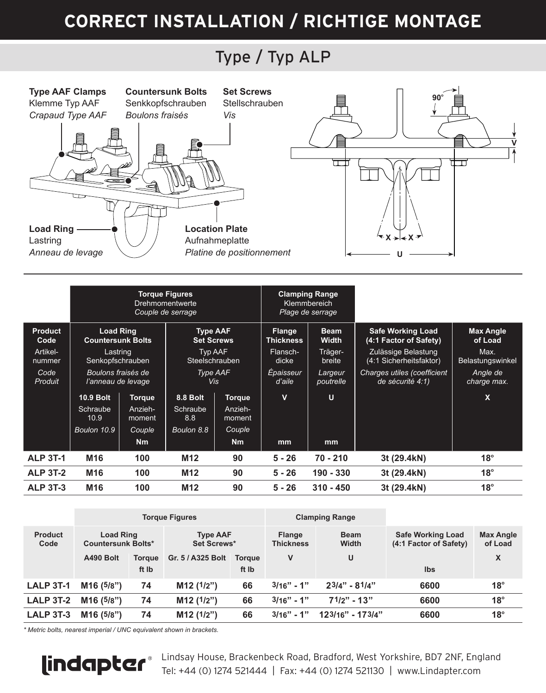### Type / Typ ALP



|                    | <b>Torque Figures</b><br>Drehmomentwerte<br>Couple de serrage |                   |                                      |                   | <b>Clamping Range</b><br>Klemmbereich<br>Plage de serrage |                      |                                                    |                             |
|--------------------|---------------------------------------------------------------|-------------------|--------------------------------------|-------------------|-----------------------------------------------------------|----------------------|----------------------------------------------------|-----------------------------|
| Product<br>Code    | <b>Load Ring</b><br><b>Countersunk Bolts</b>                  |                   | <b>Type AAF</b><br><b>Set Screws</b> |                   | Flange<br><b>Thickness</b>                                | <b>Beam</b><br>Width | <b>Safe Working Load</b><br>(4:1 Factor of Safety) | <b>Max Angle</b><br>of Load |
| Artikel-<br>nummer | Lastring<br>Senkopfschrauben                                  |                   | Typ AAF<br>Steelschrauben            |                   | Flansch-<br>dicke                                         | Träger-<br>breite    | Zulässige Belastung<br>(4:1 Sicherheitsfaktor)     | Max.<br>Belastungswinkel    |
| Code<br>Produit    | Boulons fraisés de<br>l'anneau de levage                      |                   | Type AAF<br><b>Vis</b>               |                   | Épaisseur<br>d'aile                                       | Largeur<br>poutrelle | Charges utiles (coefficient<br>de sécurité 4:1)    | Angle de<br>charge max.     |
|                    | <b>10.9 Bolt</b>                                              | <b>Torque</b>     | 8.8 Bolt                             | <b>Torque</b>     | $\overline{\mathsf{v}}$                                   | U                    |                                                    | $\mathbf x$                 |
|                    | Schraube<br>10.9                                              | Anzieh-<br>moment | Schraube<br>8.8                      | Anzieh-<br>moment |                                                           |                      |                                                    |                             |
|                    | Boulon 10.9                                                   | Couple            | Boulon 8.8                           | Couple            |                                                           |                      |                                                    |                             |
|                    |                                                               | N <sub>m</sub>    |                                      | Nm                | mm                                                        | mm                   |                                                    |                             |
| <b>ALP 3T-1</b>    | M <sub>16</sub>                                               | 100               | M <sub>12</sub>                      | 90                | $5 - 26$                                                  | $70 - 210$           | 3t (29.4kN)                                        | $18^\circ$                  |
| <b>ALP 3T-2</b>    | M16                                                           | 100               | M <sub>12</sub>                      | 90                | $5 - 26$                                                  | 190 - 330            | 3t (29.4kN)                                        | $18^\circ$                  |
| <b>ALP 3T-3</b>    | M <sub>16</sub>                                               | 100               | M <sub>12</sub>                      | 90                | $5 - 26$                                                  | $310 - 450$          | 3t (29.4kN)                                        | $18^\circ$                  |

|                        | <b>Torque Figures</b>                         |                        |                                |                        |                            | <b>Clamping Range</b> |                                                    |                             |
|------------------------|-----------------------------------------------|------------------------|--------------------------------|------------------------|----------------------------|-----------------------|----------------------------------------------------|-----------------------------|
| <b>Product</b><br>Code | <b>Load Ring</b><br><b>Countersunk Bolts*</b> |                        | <b>Type AAF</b><br>Set Screws* |                        | Flange<br><b>Thickness</b> | <b>Beam</b><br>Width  | <b>Safe Working Load</b><br>(4:1 Factor of Safety) | <b>Max Angle</b><br>of Load |
|                        | A490 Bolt                                     | <b>Toraue</b><br>ft Ib | Gr. 5 / A325 Bolt              | <b>Toraue</b><br>ft Ib | v                          | U                     | Ibs                                                | X                           |
| <b>LALP 3T-1</b>       | M <sub>16</sub> (5/8")                        | 74                     | M12(1/2")                      | 66                     | $3/16" - 1"$               | $23/4" - 81/4"$       | 6600                                               | $18^{\circ}$                |
| <b>LALP 3T-2</b>       | M16 (5/8")                                    | 74                     | M12(1/2")                      | 66                     | $3/16" - 1"$               | $71/2" - 13"$         | 6600                                               | $18^\circ$                  |
| LALP 3T-3              | M16 (5/8")                                    | 74                     | M12(1/2")                      | 66                     | $3/16" - 1"$               | 123/16" - 173/4"      | 6600                                               | $18^\circ$                  |

*\* Metric bolts, nearest imperial / UNC equivalent shown in brackets.*



Lindsay House, Brackenbeck Road, Bradford, West Yorkshire, BD7 2NF, England Tel: +44 (0) 1274 521444 | Fax: +44 (0) 1274 521130 | www.Lindapter.com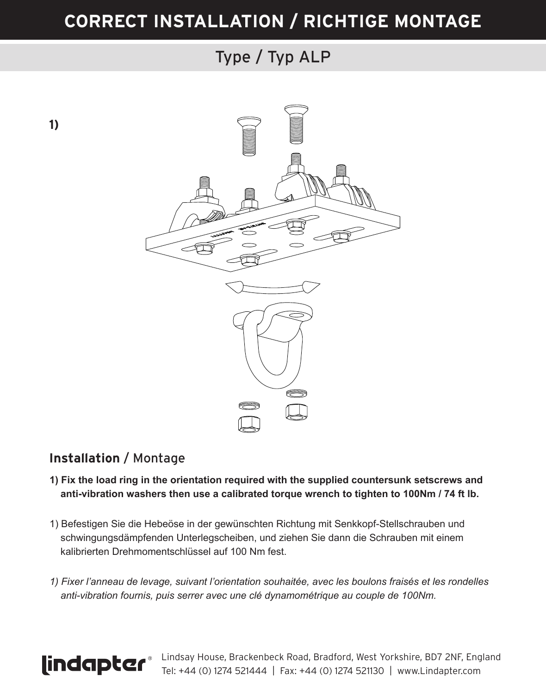## Type / Typ ALP

**1)**



#### **Installation** / Montage

- **1) Fix the load ring in the orientation required with the supplied countersunk setscrews and anti-vibration washers then use a calibrated torque wrench to tighten to 100Nm / 74 ft lb.**
- 1) Befestigen Sie die Hebeöse in der gewünschten Richtung mit Senkkopf-Stellschrauben und schwingungsdämpfenden Unterlegscheiben, und ziehen Sie dann die Schrauben mit einem kalibrierten Drehmomentschlüssel auf 100 Nm fest.
- *1) Fixer l'anneau de levage, suivant l'orientation souhaitée, avec les boulons fraisés et les rondelles anti-vibration fournis, puis serrer avec une clé dynamométrique au couple de 100Nm.*



Lindsay House, Brackenbeck Road, Bradford, West Yorkshire, BD7 2NF, England Tel: +44 (0) 1274 521444 | Fax: +44 (0) 1274 521130 | www.Lindapter.com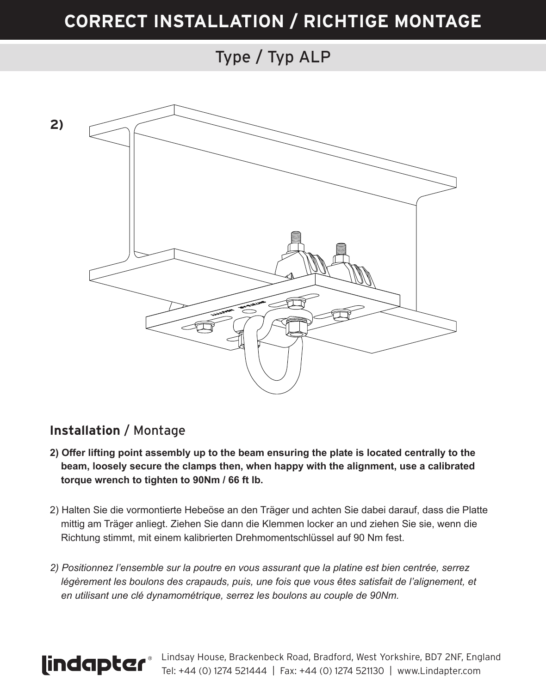### Type / Typ ALP



#### **Installation** / Montage

- **2) Offer lifting point assembly up to the beam ensuring the plate is located centrally to the beam, loosely secure the clamps then, when happy with the alignment, use a calibrated torque wrench to tighten to 90Nm / 66 ft lb.**
- 2) Halten Sie die vormontierte Hebeöse an den Träger und achten Sie dabei darauf, dass die Platte mittig am Träger anliegt. Ziehen Sie dann die Klemmen locker an und ziehen Sie sie, wenn die Richtung stimmt, mit einem kalibrierten Drehmomentschlüssel auf 90 Nm fest.
- *2) Positionnez l'ensemble sur la poutre en vous assurant que la platine est bien centrée, serrez*  légèrement les boulons des crapauds, puis, une fois que vous êtes satisfait de l'alignement, et  *en utilisant une clé dynamométrique, serrez les boulons au couple de 90Nm.*



Lindsay House, Brackenbeck Road, Bradford, West Yorkshire, BD7 2NF, England Tel: +44 (0) 1274 521444 | Fax: +44 (0) 1274 521130 | www.Lindapter.com